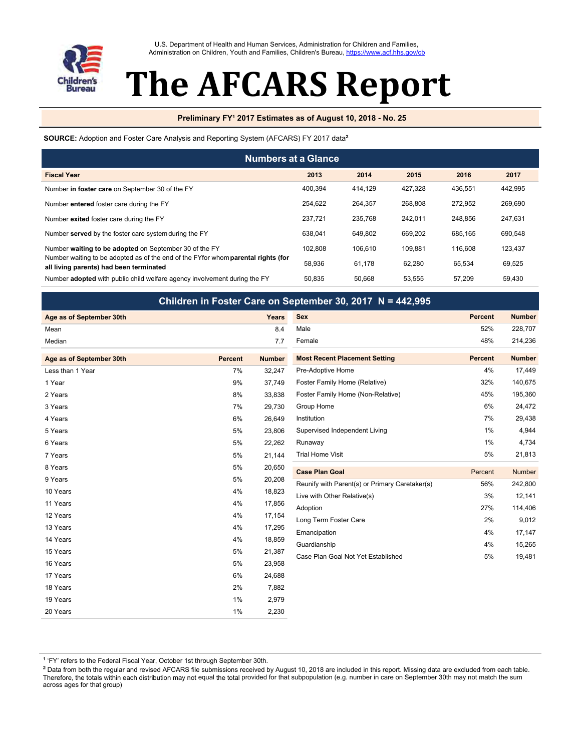

U.S. Department of Health and Human Services, Administration for Children and Families, Administration on Children, Youth and Families, Children's Bureau, https://www.acf.hhs.gov/cb

# The AFCARS Report

## **Preliminary FY<sup>1</sup> 2017 Estimates as of August 10, 2018 - No. 25**

#### SOURCE: Adoption and Foster Care Analysis and Reporting System (AFCARS) FY 2017 data<sup>2</sup>

| <b>Numbers at a Glance</b>                                                                                                   |         |         |         |         |         |  |  |
|------------------------------------------------------------------------------------------------------------------------------|---------|---------|---------|---------|---------|--|--|
| <b>Fiscal Year</b>                                                                                                           | 2013    | 2014    | 2015    | 2016    | 2017    |  |  |
| Number in foster care on September 30 of the FY                                                                              | 400.394 | 414.129 | 427.328 | 436.551 | 442,995 |  |  |
| Number entered foster care during the FY                                                                                     | 254.622 | 264.357 | 268.808 | 272.952 | 269.690 |  |  |
| Number exited foster care during the FY                                                                                      | 237.721 | 235.768 | 242.011 | 248.856 | 247.631 |  |  |
| Number served by the foster care system during the FY                                                                        | 638.041 | 649.802 | 669.202 | 685.165 | 690.548 |  |  |
| Number waiting to be adopted on September 30 of the FY                                                                       | 102.808 | 106.610 | 109.881 | 116,608 | 123.437 |  |  |
| Number waiting to be adopted as of the end of the FYfor whom parental rights (for<br>all living parents) had been terminated | 58.936  | 61.178  | 62.280  | 65.534  | 69.525  |  |  |
| Number adopted with public child welfare agency involvement during the FY                                                    | 50.835  | 50.668  | 53.555  | 57.209  | 59,430  |  |  |

Children in Foster Care on September 20, 2017 N = 442,995

|                          |                |               | Critique in the bater care on oepterment ov, zu in the 442,333 |                |               |
|--------------------------|----------------|---------------|----------------------------------------------------------------|----------------|---------------|
| Age as of September 30th |                | <b>Years</b>  | <b>Sex</b>                                                     | <b>Percent</b> | <b>Number</b> |
| Mean                     |                | 8.4           | Male                                                           | 52%            | 228,707       |
| Median                   |                | 7.7           | Female                                                         | 48%            | 214,236       |
| Age as of September 30th | <b>Percent</b> | <b>Number</b> | <b>Most Recent Placement Setting</b>                           | <b>Percent</b> | <b>Number</b> |
| Less than 1 Year         | 7%             | 32,247        | Pre-Adoptive Home                                              | 4%             | 17,449        |
| 1 Year                   | 9%             | 37,749        | Foster Family Home (Relative)                                  | 32%            | 140,675       |
| 2 Years                  | 8%             | 33,838        | Foster Family Home (Non-Relative)                              | 45%            | 195,360       |
| 3 Years                  | 7%             | 29,730        | Group Home                                                     | 6%             | 24,472        |
| 4 Years                  | 6%             | 26,649        | Institution                                                    | 7%             | 29,438        |
| 5 Years                  | 5%             | 23,806        | Supervised Independent Living                                  | $1\%$          | 4,944         |
| 6 Years                  | 5%             | 22,262        | Runaway                                                        | $1\%$          | 4,734         |
| 7 Years                  | 5%             | 21,144        | <b>Trial Home Visit</b>                                        | 5%             | 21,813        |
| 8 Years                  | 5%             | 20,650        | <b>Case Plan Goal</b>                                          | Percent        | Number        |
| 9 Years                  | 5%             | 20,208        | Reunify with Parent(s) or Primary Caretaker(s)                 | 56%            | 242,800       |
| 10 Years                 | 4%             | 18,823        | Live with Other Relative(s)                                    | 3%             | 12,141        |
| 11 Years                 | 4%             | 17,856        | Adoption                                                       | 27%            | 114,406       |
| 12 Years                 | 4%             | 17,154        | Long Term Foster Care                                          | 2%             | 9,012         |
| 13 Years                 | 4%             | 17,295        | Emancipation                                                   | 4%             | 17,147        |
| 14 Years                 | 4%             | 18,859        | Guardianship                                                   | 4%             | 15,265        |
| 15 Years                 | 5%             | 21,387        | Case Plan Goal Not Yet Established                             | 5%             | 19,481        |
| 16 Years                 | 5%             | 23,958        |                                                                |                |               |
| 17 Years                 | 6%             | 24,688        |                                                                |                |               |
| 18 Years                 | 2%             | 7,882         |                                                                |                |               |
| 19 Years                 | 1%             | 2,979         |                                                                |                |               |
| 20 Years                 | 1%             | 2,230         |                                                                |                |               |

<sup>2</sup> Data from both the regular and revised AFCARS file submissions received by August 10, 2018 are included in this report. Missing data are excluded from each table. Therefore, the totals within each distribution may not equal the total provided for that subpopulation (e.g. number in care on September 30th may not match the sum across ages for that group)

<sup>&</sup>lt;sup>1</sup> 'FY' refers to the Federal Fiscal Year, October 1st through September 30th.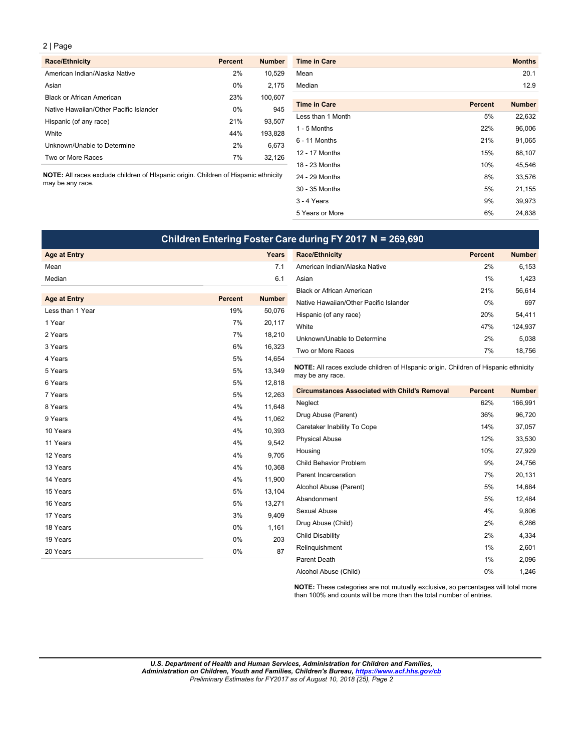| <b>Race/Ethnicity</b>                  | <b>Percent</b> | <b>Number</b> |
|----------------------------------------|----------------|---------------|
| American Indian/Alaska Native          | 2%             | 10,529        |
| Asian                                  | 0%             | 2,175         |
| <b>Black or African American</b>       | 23%            | 100.607       |
| Native Hawaiian/Other Pacific Islander | 0%             | 945           |
| Hispanic (of any race)                 | 21%            | 93.507        |
| White                                  | 44%            | 193,828       |
| Unknown/Unable to Determine            | 2%             | 6,673         |
| Two or More Races                      | 7%             | 32,126        |

| <b>Race/Ethnicity</b>                                                               | <b>Percent</b> | <b>Number</b> | <b>Time in Care</b> |                | <b>Months</b> |
|-------------------------------------------------------------------------------------|----------------|---------------|---------------------|----------------|---------------|
| American Indian/Alaska Native                                                       | 2%             | 10,529        | Mean                |                | 20.1          |
| Asian                                                                               | 0%             | 2,175         | Median              |                | 12.9          |
| <b>Black or African American</b>                                                    | 23%            | 100,607       |                     |                |               |
| Native Hawaiian/Other Pacific Islander                                              | 0%             | 945           | <b>Time in Care</b> | <b>Percent</b> | <b>Number</b> |
| Hispanic (of any race)                                                              | 21%            | 93,507        | Less than 1 Month   | 5%             | 22,632        |
| White                                                                               | 44%            | 193,828       | $1 - 5$ Months      | 22%            | 96,006        |
| Unknown/Unable to Determine                                                         | 2%             | 6,673         | 6 - 11 Months       | 21%            | 91,065        |
| Two or More Races                                                                   | 7%             | 32,126        | 12 - 17 Months      | 15%            | 68,107        |
|                                                                                     |                |               | 18 - 23 Months      | 10%            | 45,546        |
| NOTE: All races exclude children of HIspanic origin. Children of Hispanic ethnicity |                |               | 24 - 29 Months      | 8%             | 33,576        |
| may be any race.                                                                    |                |               | 30 - 35 Months      | 5%             | 21,155        |
|                                                                                     |                |               | 3 - 4 Years         | 9%             | 39,973        |
|                                                                                     |                |               | 5 Years or More     | 6%             | 24,838        |

| Children Entering Foster Care during FY 2017 N = 269,690 |                |               |                                                                                                         |                |               |  |
|----------------------------------------------------------|----------------|---------------|---------------------------------------------------------------------------------------------------------|----------------|---------------|--|
| <b>Age at Entry</b>                                      |                | Years         | <b>Race/Ethnicity</b>                                                                                   | <b>Percent</b> | <b>Number</b> |  |
| Mean                                                     |                | 7.1           | American Indian/Alaska Native                                                                           | 2%             | 6,153         |  |
| Median                                                   |                | 6.1           | Asian                                                                                                   | 1%             | 1,423         |  |
|                                                          |                |               | <b>Black or African American</b>                                                                        | 21%            | 56,614        |  |
| <b>Age at Entry</b>                                      | <b>Percent</b> | <b>Number</b> | Native Hawaiian/Other Pacific Islander                                                                  | 0%             | 697           |  |
| Less than 1 Year                                         | 19%            | 50,076        | Hispanic (of any race)                                                                                  | 20%            | 54,411        |  |
| 1 Year                                                   | 7%             | 20,117        | White                                                                                                   | 47%            | 124,937       |  |
| 2 Years                                                  | 7%             | 18,210        | Unknown/Unable to Determine                                                                             | 2%             | 5,038         |  |
| 3 Years                                                  | 6%             | 16,323        | Two or More Races                                                                                       | 7%             | 18,756        |  |
| 4 Years                                                  | 5%             | 14,654        |                                                                                                         |                |               |  |
| 5 Years                                                  | 5%             | 13,349        | NOTE: All races exclude children of HIspanic origin. Children of Hispanic ethnicity<br>may be any race. |                |               |  |
| 6 Years                                                  | 5%             | 12,818        |                                                                                                         |                |               |  |
| 7 Years                                                  | 5%             | 12,263        | <b>Circumstances Associated with Child's Removal</b>                                                    | <b>Percent</b> | <b>Number</b> |  |
| 8 Years                                                  | 4%             | 11,648        | Neglect                                                                                                 | 62%            | 166,991       |  |
| 9 Years                                                  | 4%             | 11,062        | Drug Abuse (Parent)                                                                                     | 36%            | 96,720        |  |
| 10 Years                                                 | 4%             | 10,393        | Caretaker Inability To Cope                                                                             | 14%            | 37,057        |  |
| 11 Years                                                 | 4%             | 9,542         | <b>Physical Abuse</b>                                                                                   | 12%            | 33,530        |  |
| 12 Years                                                 | 4%             | 9,705         | Housing                                                                                                 | 10%            | 27,929        |  |
| 13 Years                                                 | 4%             | 10,368        | <b>Child Behavior Problem</b>                                                                           | 9%             | 24,756        |  |
| 14 Years                                                 | 4%             | 11,900        | Parent Incarceration                                                                                    | 7%             | 20,131        |  |
| 15 Years                                                 | 5%             | 13,104        | Alcohol Abuse (Parent)                                                                                  | 5%             | 14,684        |  |
| 16 Years                                                 | 5%             | 13,271        | Abandonment                                                                                             | 5%             | 12,484        |  |
| 17 Years                                                 | 3%             | 9,409         | Sexual Abuse                                                                                            | 4%             | 9,806         |  |
| 18 Years                                                 | 0%             | 1,161         | Drug Abuse (Child)                                                                                      | 2%             | 6,286         |  |
| 19 Years                                                 | 0%             | 203           | <b>Child Disability</b>                                                                                 | 2%             | 4,334         |  |
| 20 Years                                                 | 0%             | 87            | Relinquishment                                                                                          | 1%             | 2,601         |  |
|                                                          |                |               | Parent Death                                                                                            | $1\%$          | 2,096         |  |
|                                                          |                |               | Alcohol Abuse (Child)                                                                                   | 0%             | 1,246         |  |

NOTE: These categories are not mutually exclusive, so percentages will total more than 100% and counts will be more than the total number of entries.

. L ı o эŋ *U.S. Department of Health and Human Services, Administration for Children and Families, Administration on Children, Youth and Families, Children's Bureau, <https://www.acf.hhs.gov/cb> Preliminary Estimates for FY2017 as of August 10, 2018 (25), Page 2*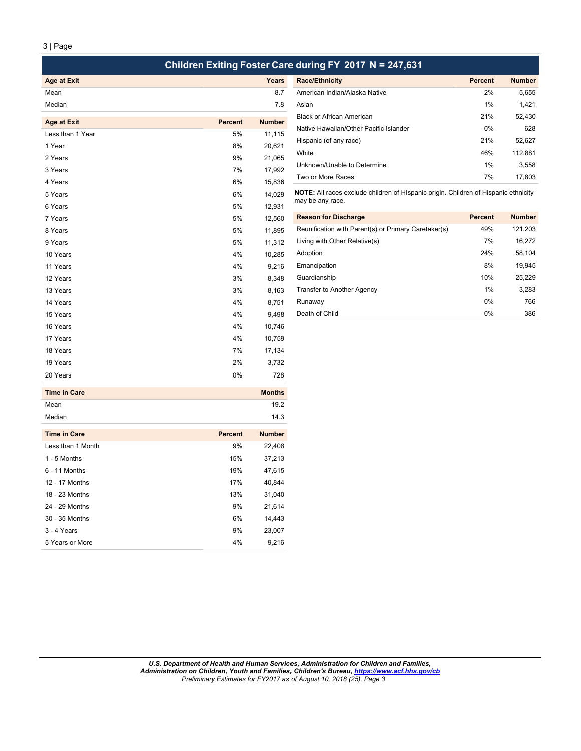| Children Exiting Foster Care during FY 2017 N = 247,631 |
|---------------------------------------------------------|
|---------------------------------------------------------|

| Age at Exit |  |
|-------------|--|
| Mean        |  |
| Median      |  |

| <b>Age at Exit</b> | <b>Percent</b> | <b>Number</b> | Black or African American                                                           | 21%            | 52,430        |
|--------------------|----------------|---------------|-------------------------------------------------------------------------------------|----------------|---------------|
|                    |                |               | Native Hawaiian/Other Pacific Islander                                              | 0%             | 628           |
| Less than 1 Year   | 5%             | 11,115        | Hispanic (of any race)                                                              | 21%            | 52,627        |
| 1 Year             | 8%             | 20,621        | White                                                                               | 46%            | 112,881       |
| 2 Years            | 9%             | 21,065        |                                                                                     |                |               |
| 3 Years            | 7%             | 17,992        | Unknown/Unable to Determine                                                         | 1%             | 3,558         |
| 4 Years            | 6%             | 15,836        | Two or More Races                                                                   | 7%             | 17,803        |
| 5 Years            | 6%             | 14,029        | NOTE: All races exclude children of HIspanic origin. Children of Hispanic ethnicity |                |               |
| 6 Years            | 5%             | 12,931        | may be any race.                                                                    |                |               |
| 7 Years            | 5%             | 12,560        | <b>Reason for Discharge</b>                                                         | <b>Percent</b> | <b>Number</b> |
| 8 Years            | 5%             | 11,895        | Reunification with Parent(s) or Primary Caretaker(s)                                | 49%            | 121,203       |
| 9 Years            | 5%             | 11,312        | Living with Other Relative(s)                                                       | 7%             | 16,272        |
| 10 Years           | 4%             | 10,285        | Adoption                                                                            | 24%            | 58,104        |
| 11 Years           | 4%             | 9,216         | Emancipation                                                                        | 8%             | 19,945        |
| 12 Years           | 3%             | 8,348         | Guardianship                                                                        | 10%            | 25,229        |
| 13 Years           | 3%             | 8,163         | Transfer to Another Agency                                                          | 1%             | 3,283         |
| 14 Years           | 4%             | 8,751         | Runaway                                                                             | $0\%$          | 766           |
| 15 Years           | 4%             | 9,498         | Death of Child                                                                      | 0%             | 386           |
| 16 Years           | 4%             | 10,746        |                                                                                     |                |               |
| 17 Years           | 4%             | 10,759        |                                                                                     |                |               |
| 18 Years           | 7%             | 17,134        |                                                                                     |                |               |
| 19 Years           | 2%             | 3,732         |                                                                                     |                |               |
| 20 Years           | 0%             | 728           |                                                                                     |                |               |

| Time in Care | <b>Months</b> |
|--------------|---------------|
| Mean         | 19.2          |
| Median       | 14.3          |

| <b>Time in Care</b> | <b>Percent</b> | <b>Number</b> |
|---------------------|----------------|---------------|
| Less than 1 Month   | 9%             | 22,408        |
| 1 - 5 Months        | 15%            | 37,213        |
| $6 - 11$ Months     | 19%            | 47,615        |
| 12 - 17 Months      | 17%            | 40,844        |
| 18 - 23 Months      | 13%            | 31,040        |
| 24 - 29 Months      | 9%             | 21,614        |
| 30 - 35 Months      | 6%             | 14,443        |
| 3 - 4 Years         | 9%             | 23.007        |
| 5 Years or More     | 4%             | 9,216         |

| Age at Exit      |                | Years         | <b>Race/Ethnicity</b>                  | <b>Percent</b> | <b>Number</b> |  |
|------------------|----------------|---------------|----------------------------------------|----------------|---------------|--|
| Mean             |                | 8.7           | American Indian/Alaska Native          | 2%             | 5,655         |  |
| Median           |                | 7.8           | Asian                                  | 1%             | 1,421         |  |
|                  |                |               | <b>Black or African American</b>       | 21%            | 52,430        |  |
| Age at Exit      | <b>Percent</b> | <b>Number</b> | Native Hawaiian/Other Pacific Islander |                |               |  |
| Less than 1 Year | 5%             | 11,115        |                                        | 0%             | 628           |  |
| 1 Year           | 8%             | 20,621        | Hispanic (of any race)                 | 21%            | 52,627        |  |
|                  |                |               | White                                  | 46%            | 112,881       |  |
| 2 Years          | 9%             | 21,065        |                                        |                |               |  |
| 3 Years          | 7%             | 17,992        | Unknown/Unable to Determine            | 1%             | 3,558         |  |
|                  |                |               | Two or More Races                      | 7%             | 17,803        |  |
| $4$ Years        | $6\%$          | 15836         |                                        |                |               |  |

| 5% | 12.560 | <b>Reason for Discharge</b>                          | <b>Percent</b> | <b>Number</b> |
|----|--------|------------------------------------------------------|----------------|---------------|
| 5% | 11,895 | Reunification with Parent(s) or Primary Caretaker(s) | 49%            | 121,203       |
| 5% | 11.312 | Living with Other Relative(s)                        | 7%             | 16,272        |
| 4% | 10,285 | Adoption                                             | 24%            | 58,104        |
| 4% | 9,216  | Emancipation                                         | 8%             | 19,945        |
| 3% | 8.348  | Guardianship                                         | 10%            | 25,229        |
| 3% | 8,163  | Transfer to Another Agency                           | 1%             | 3,283         |
| 4% | 8.751  | Runaway                                              | $0\%$          | 766           |
| 4% | 9.498  | Death of Child                                       | $0\%$          | 386           |
|    |        |                                                      |                |               |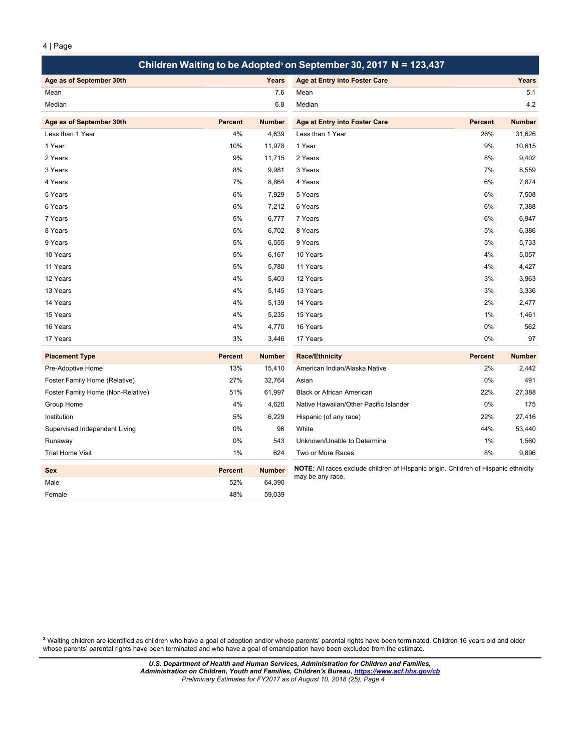|                                   |                |               | Children Waiting to be Adopted <sup>®</sup> on September 30, 2017 N = 123,437       |                |               |
|-----------------------------------|----------------|---------------|-------------------------------------------------------------------------------------|----------------|---------------|
| Age as of September 30th          |                | Years         | Age at Entry into Foster Care                                                       |                | Years         |
| Mean                              |                | 7.6           | Mean                                                                                |                | 5.1           |
| Median                            |                | 6.8           | Median                                                                              |                | 4.2           |
| Age as of September 30th          | <b>Percent</b> | <b>Number</b> | Age at Entry into Foster Care                                                       | <b>Percent</b> | <b>Number</b> |
| Less than 1 Year                  | 4%             | 4,639         | Less than 1 Year                                                                    | 26%            | 31,626        |
| 1 Year                            | 10%            | 11,978        | 1 Year                                                                              | 9%             | 10,615        |
| 2 Years                           | 9%             | 11,715        | 2 Years                                                                             | 8%             | 9,402         |
| 3 Years                           | 8%             | 9,981         | 3 Years                                                                             | 7%             | 8,559         |
| 4 Years                           | 7%             | 8,864         | 4 Years                                                                             | 6%             | 7,874         |
| 5 Years                           | 6%             | 7,929         | 5 Years                                                                             | 6%             | 7,508         |
| 6 Years                           | 6%             | 7,212         | 6 Years                                                                             | 6%             | 7,388         |
| 7 Years                           | 5%             | 6,777         | 7 Years                                                                             | 6%             | 6,947         |
| 8 Years                           | 5%             | 6,702         | 8 Years                                                                             | 5%             | 6,386         |
| 9 Years                           | 5%             | 6,555         | 9 Years                                                                             | 5%             | 5,733         |
| 10 Years                          | 5%             | 6,167         | 10 Years                                                                            | 4%             | 5,057         |
| 11 Years                          | 5%             | 5,780         | 11 Years                                                                            | 4%             | 4,427         |
| 12 Years                          | 4%             | 5,403         | 12 Years                                                                            | 3%             | 3,963         |
| 13 Years                          | 4%             | 5,145         | 13 Years                                                                            | 3%             | 3,336         |
| 14 Years                          | 4%             | 5,139         | 14 Years                                                                            | 2%             | 2,477         |
| 15 Years                          | 4%             | 5,235         | 15 Years                                                                            | 1%             | 1,461         |
| 16 Years                          | 4%             | 4,770         | 16 Years                                                                            | 0%             | 562           |
| 17 Years                          | 3%             | 3,446         | 17 Years                                                                            | 0%             | 97            |
| <b>Placement Type</b>             | <b>Percent</b> | <b>Number</b> | <b>Race/Ethnicity</b>                                                               | <b>Percent</b> | <b>Number</b> |
| Pre-Adoptive Home                 | 13%            | 15,410        | American Indian/Alaska Native                                                       | 2%             | 2,442         |
| Foster Family Home (Relative)     | 27%            | 32,764        | Asian                                                                               | 0%             | 491           |
| Foster Family Home (Non-Relative) | 51%            | 61,997        | <b>Black or African American</b>                                                    | 22%            | 27,388        |
| Group Home                        | 4%             | 4,620         | Native Hawaiian/Other Pacific Islander                                              | 0%             | 175           |
| Institution                       | 5%             | 6,229         | Hispanic (of any race)                                                              | 22%            | 27,416        |
| Supervised Independent Living     | 0%             | 96            | White                                                                               | 44%            | 53,440        |
| Runaway                           | 0%             | 543           | Unknown/Unable to Determine                                                         | 1%             | 1,560         |
| <b>Trial Home Visit</b>           | 1%             | 624           | Two or More Races                                                                   | 8%             | 9,896         |
| <b>Sex</b>                        | <b>Percent</b> | <b>Number</b> | NOTE: All races exclude children of HIspanic origin. Children of Hispanic ethnicity |                |               |
| Male                              | 52%            | 64,390        | may be any race.                                                                    |                |               |
| Female                            | 48%            | 59,039        |                                                                                     |                |               |
|                                   |                |               |                                                                                     |                |               |

<sup>3</sup> Waiting children are identified as children who have a goal of adoption and/or whose parents' parental rights have been terminated. Children 16 years old and older whose parents' parental rights have been terminated and who have a goal of emancipation have been excluded from the estimate.

> D  $\mathbf{o}$ Έ U.S. Department of Health and Human Services, Administration for Children and Families, nistration on Children, Youth and Families, Children's Bureau, <u>https://www.acf.hhs.gov/cb</u> S. Department of Health and Human Services, Administration for Children and Families, Administration on Children, Youth and Families, Children's Bureau, <u>https://www.acf.hhs.gov/ck</u> PrlmiayEtmae ei nr si t*s for FY2017 as of August 10, 2018 (25), Page 4*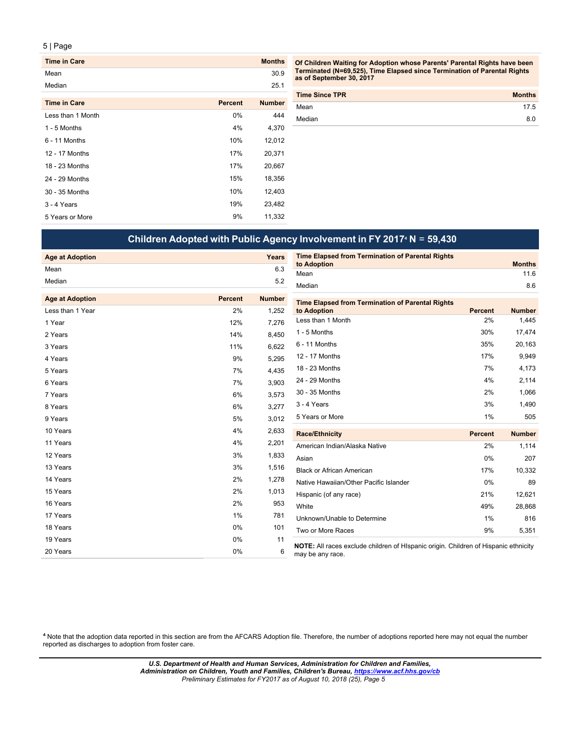| <b>Time in Care</b> |                | <b>Months</b> |
|---------------------|----------------|---------------|
| Mean                |                | 30.9          |
| Median              |                | 25.1          |
| <b>Time in Care</b> | <b>Percent</b> | <b>Number</b> |
| Less than 1 Month   | 0%             | 444           |
| 1 - 5 Months        | 4%             | 4,370         |
| $6 - 11$ Months     | 10%            | 12,012        |
| 12 - 17 Months      | 17%            | 20,371        |
| 18 - 23 Months      | 17%            | 20,667        |
| 24 - 29 Months      | 15%            | 18,356        |
| 30 - 35 Months      | 10%            | 12,403        |
| 3 - 4 Years         | 19%            | 23,482        |
| 5 Years or More     | 9%             | 11,332        |

Of Children Waiting for Adoption whose Parents' Parental Rights have been Terminated (N=69,525), Time Elapsed since Termination of Parental Rights<br>as of September 30, 2017

| <b>Months</b> |
|---------------|
| 17.5          |
| 8.0           |
|               |

# **Children Adopted with Public Agency Involvement in FY 2017**⁴ **N** = **59,430**

| <b>Age at Adoption</b>                     |                | Years         | <b>Time Elapsed from Termination of Parental Rights</b>                                                 |                      |                        |
|--------------------------------------------|----------------|---------------|---------------------------------------------------------------------------------------------------------|----------------------|------------------------|
| Mean                                       |                | 6.3           | to Adoption<br>Mean                                                                                     |                      | <b>Months</b><br>11.6  |
| Median                                     |                | 5.2           | Median                                                                                                  |                      | 8.6                    |
|                                            | <b>Percent</b> | <b>Number</b> |                                                                                                         |                      |                        |
| <b>Age at Adoption</b><br>Less than 1 Year |                |               | <b>Time Elapsed from Termination of Parental Rights</b>                                                 |                      |                        |
|                                            | 2%             | 1,252         | to Adoption<br>Less than 1 Month                                                                        | <b>Percent</b><br>2% | <b>Number</b><br>1,445 |
| 1 Year                                     | 12%            | 7,276         | 1 - 5 Months                                                                                            | 30%                  |                        |
| 2 Years                                    | 14%            | 8,450         |                                                                                                         |                      | 17,474                 |
| 3 Years                                    | 11%            | 6,622         | 6 - 11 Months                                                                                           | 35%                  | 20,163                 |
| 4 Years                                    | 9%             | 5,295         | 12 - 17 Months                                                                                          | 17%                  | 9,949                  |
| 5 Years                                    | 7%             | 4,435         | 18 - 23 Months                                                                                          | 7%                   | 4,173                  |
| 6 Years                                    | 7%             | 3,903         | 24 - 29 Months                                                                                          | 4%                   | 2,114                  |
| 7 Years                                    | 6%             | 3,573         | 30 - 35 Months                                                                                          | 2%                   | 1,066                  |
| 8 Years                                    | 6%             | 3,277         | 3 - 4 Years                                                                                             | 3%                   | 1,490                  |
| 9 Years                                    | 5%             | 3,012         | 5 Years or More                                                                                         | 1%                   | 505                    |
| 10 Years                                   | 4%             | 2,633         | <b>Race/Ethnicity</b>                                                                                   | <b>Percent</b>       | <b>Number</b>          |
| 11 Years                                   | 4%             | 2,201         | American Indian/Alaska Native                                                                           | 2%                   | 1,114                  |
| 12 Years                                   | 3%             | 1,833         | Asian                                                                                                   | 0%                   | 207                    |
| 13 Years                                   | 3%             | 1,516         | <b>Black or African American</b>                                                                        | 17%                  | 10,332                 |
| 14 Years                                   | 2%             | 1,278         | Native Hawaiian/Other Pacific Islander                                                                  | $0\%$                | 89                     |
| 15 Years                                   | 2%             | 1,013         | Hispanic (of any race)                                                                                  | 21%                  | 12,621                 |
| 16 Years                                   | 2%             | 953           | White                                                                                                   | 49%                  | 28,868                 |
| 17 Years                                   | 1%             | 781           | Unknown/Unable to Determine                                                                             | 1%                   | 816                    |
| 18 Years                                   | 0%             | 101           | Two or More Races                                                                                       | 9%                   | 5,351                  |
| 19 Years                                   | 0%             | 11            |                                                                                                         |                      |                        |
| 20 Years                                   | 0%             | 6             | NOTE: All races exclude children of HIspanic origin. Children of Hispanic ethnicity<br>may be any race. |                      |                        |

<sup>4</sup> Note that the adoption data reported in this section are from the AFCARS Adoption file. Therefore, the number of adoptions reported here may not equal the number reportedasdishcargestoadoptionfromfostercare.

> D  $\mathbf{o}$ Έ U.S. Department of Health and Human Services, Administration for Children and Families, nistration on Children, Youth and Families, Children's Bureau, <u>https://www.acf.hhs.gov/cb</u> S. Department of Health and Human Services, Administration for Children and Families, Administration on Children, Youth and Families, Children's Bureau, <u>https://www.acf.hhs.gov/ck</u> PrlmiayEtmae ei nr si t*s for FY2017 as of August 10, 2018 (25), Page 5*